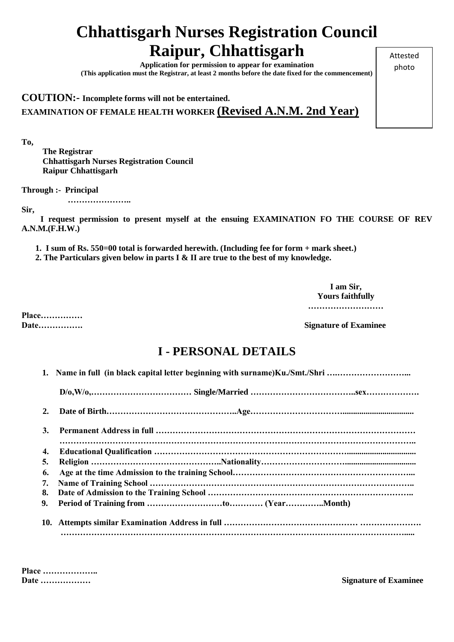## **Chhattisgarh Nurses Registration Council Raipur, Chhattisgarh**

**Application for permission to appear for examination (This application must the Registrar, at least 2 months before the date fixed for the commencement)**

**COUTION:- Incomplete forms will not be entertained. EXAMINATION OF FEMALE HEALTH WORKER (Revised A.N.M. 2nd Year)**

**To,** 

 **The Registrar Chhattisgarh Nurses Registration Council Raipur Chhattisgarh**

**Through :- Principal** 

 **…………………..**

**Sir,** 

 **I request permission to present myself at the ensuing EXAMINATION FO THE COURSE OF REV A.N.M.(F.H.W.)**

**1. I sum of Rs. 550=00 total is forwarded herewith. (Including fee for form + mark sheet.)**

**2. The Particulars given below in parts I & II are true to the best of my knowledge.**

**I am Sir, Yours faithfully ………………………**

**Place……………**

**Date……………. Signature of Examinee**

## **I - PERSONAL DETAILS**

|    | $D/0, W/0, \ldots, \ldots, \ldots, \ldots, \ldots, \ldots, \ldots, \text{Single/Married} \ldots, \ldots, \ldots, \ldots, \text{sex}, \ldots, \text{sex}, \ldots, \ldots, \ldots, \text{sex}, \ldots, \text{sey}, \ldots, \text{sez}, \ldots, \text{sez}, \ldots, \text{sez}, \ldots, \text{sez}, \ldots, \text{sez}, \ldots, \text{sez}, \ldots, \text{sez}, \ldots, \text{sez}, \ldots, \text{sez}, \ldots, \text{sez}, \ldots, \text{sez}, \ldots, \text$ |  |
|----|-------------------------------------------------------------------------------------------------------------------------------------------------------------------------------------------------------------------------------------------------------------------------------------------------------------------------------------------------------------------------------------------------------------------------------------------------------------|--|
| 2. |                                                                                                                                                                                                                                                                                                                                                                                                                                                             |  |
| 3. |                                                                                                                                                                                                                                                                                                                                                                                                                                                             |  |
| 4. |                                                                                                                                                                                                                                                                                                                                                                                                                                                             |  |
| 5. |                                                                                                                                                                                                                                                                                                                                                                                                                                                             |  |
| 6. |                                                                                                                                                                                                                                                                                                                                                                                                                                                             |  |
| 7. |                                                                                                                                                                                                                                                                                                                                                                                                                                                             |  |
| 8. |                                                                                                                                                                                                                                                                                                                                                                                                                                                             |  |
| 9. |                                                                                                                                                                                                                                                                                                                                                                                                                                                             |  |

**Place ………………..**

**Date ……………… Signature of Examinee** 

Attested photo